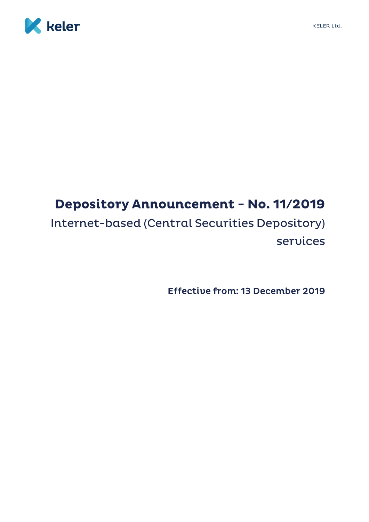



## **Depository Announcement - No. 11/2019** Internet-based (Central Securities Depository) services

Effective from: 13 December 2019